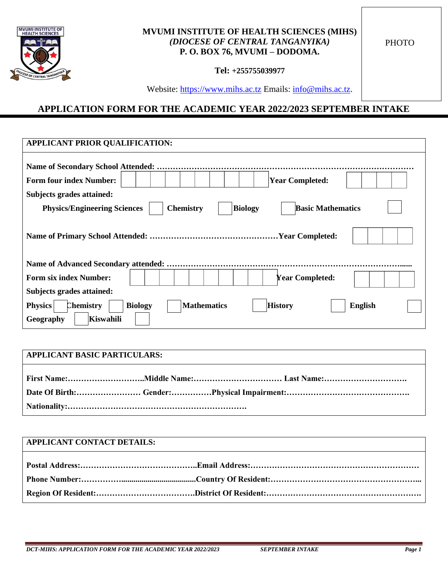

### **MVUMI INSTITUTE OF HEALTH SCIENCES (MIHS)** *(DIOCESE OF CENTRAL TANGANYIKA)* **P. O. BOX 76, MVUMI – DODOMA.**

**PHOTO** 

**Tel: +255755039977**

Website: [https://www.mihs.ac.tz](https://www.mihs.ac.tz/) Emails: [info@mihs.ac.tz.](mailto:info@mihs.ac.tz)

### **APPLICATION FORM FOR THE ACADEMIC YEAR 2022/2023 SEPTEMBER INTAKE**

| APPLICANT PRIOR QUALIFICATION:                                                                                                           |  |  |
|------------------------------------------------------------------------------------------------------------------------------------------|--|--|
| <b>Name of Secondary School Attended: .</b>                                                                                              |  |  |
| <b>Form four index Number:</b><br><b>Year Completed:</b>                                                                                 |  |  |
| Subjects grades attained:                                                                                                                |  |  |
| <b>Basic Mathematics</b><br><b>Physics/Engineering Sciences</b><br><b>Chemistry</b><br><b>Biology</b>                                    |  |  |
|                                                                                                                                          |  |  |
|                                                                                                                                          |  |  |
| <b>Form six index Number:</b><br><b>Year Completed:</b>                                                                                  |  |  |
| Subjects grades attained:                                                                                                                |  |  |
| <b>Mathematics</b><br><b>History</b><br><b>Physics</b><br><b>Chemistry</b><br><b>Biology</b><br><b>English</b><br>Kiswahili<br>Geography |  |  |

# **APPLICANT BASIC PARTICULARS: First Name:………………………..Middle Name:…………………………… Last Name:…………………………. Date Of Birth:…………………… Gender:……………Physical Impairment:………………………………………. Nationality:………………………………………………………….**

| <b>APPLICANT CONTACT DETAILS:</b> |  |
|-----------------------------------|--|
|                                   |  |
|                                   |  |
|                                   |  |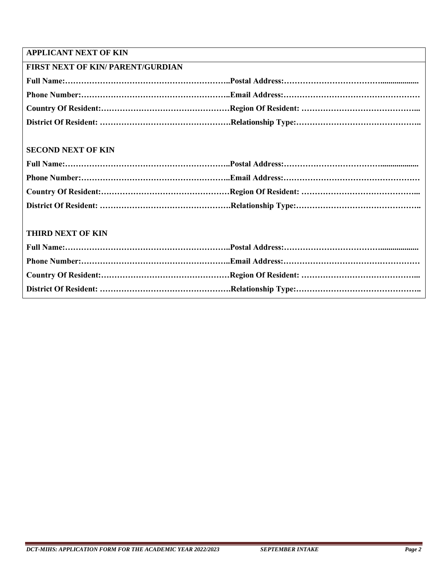### **APPLICANT NEXT OF KIN**

| <b>FIRST NEXT OF KIN/ PARENT/GURDIAN</b> |  |  |
|------------------------------------------|--|--|
|                                          |  |  |
|                                          |  |  |
|                                          |  |  |
|                                          |  |  |

### **SECOND NEXT OF KIN**

#### **THIRD NEXT OF KIN**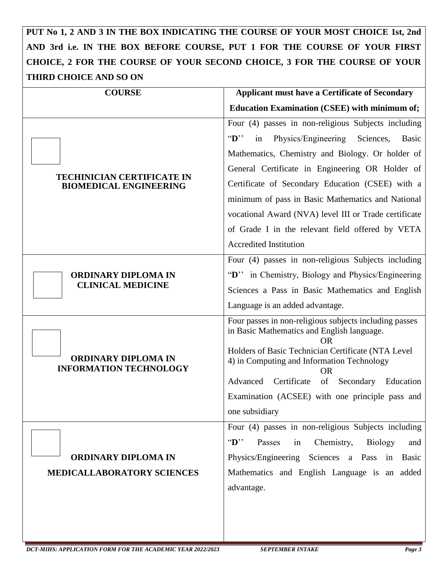## **PUT No 1, 2 AND 3 IN THE BOX INDICATING THE COURSE OF YOUR MOST CHOICE 1st, 2nd AND 3rd i.e. IN THE BOX BEFORE COURSE, PUT 1 FOR THE COURSE OF YOUR FIRST CHOICE, 2 FOR THE COURSE OF YOUR SECOND CHOICE, 3 FOR THE COURSE OF YOUR THIRD CHOICE AND SO ON**

| <b>COURSE</b>                                                      | <b>Applicant must have a Certificate of Secondary</b>                                                                                                                                                                                                                                                                                                       |
|--------------------------------------------------------------------|-------------------------------------------------------------------------------------------------------------------------------------------------------------------------------------------------------------------------------------------------------------------------------------------------------------------------------------------------------------|
|                                                                    | <b>Education Examination (CSEE) with minimum of;</b>                                                                                                                                                                                                                                                                                                        |
| <b>TECHINICIAN CERTIFICATE IN</b><br><b>BIOMEDICAL ENGINEERING</b> | Four (4) passes in non-religious Subjects including<br>Physics/Engineering<br>$\mathbf{D}$ .<br>Sciences,<br>Basic<br>in<br>Mathematics, Chemistry and Biology. Or holder of                                                                                                                                                                                |
|                                                                    | General Certificate in Engineering OR Holder of<br>Certificate of Secondary Education (CSEE) with a<br>minimum of pass in Basic Mathematics and National<br>vocational Award (NVA) level III or Trade certificate<br>of Grade I in the relevant field offered by VETA<br><b>Accredited Institution</b>                                                      |
| <b>ORDINARY DIPLOMA IN</b><br><b>CLINICAL MEDICINE</b>             | Four (4) passes in non-religious Subjects including<br>"D" in Chemistry, Biology and Physics/Engineering<br>Sciences a Pass in Basic Mathematics and English<br>Language is an added advantage.                                                                                                                                                             |
| <b>ORDINARY DIPLOMA IN</b><br><b>INFORMATION TECHNOLOGY</b>        | Four passes in non-religious subjects including passes<br>in Basic Mathematics and English language.<br>OR<br>Holders of Basic Technician Certificate (NTA Level<br>4) in Computing and Information Technology<br><b>OR</b><br>Certificate<br>of<br>Secondary<br>Advanced<br>Education<br>Examination (ACSEE) with one principle pass and<br>one subsidiary |
| <b>ORDINARY DIPLOMA IN</b><br>MEDICALLABORATORY SCIENCES           | Four (4) passes in non-religious Subjects including<br>$\mathbf{D}$ .<br>Passes<br>in<br>Chemistry,<br>Biology<br>and<br>Physics/Engineering Sciences a Pass in<br>Basic<br>Mathematics and English Language is an added<br>advantage.                                                                                                                      |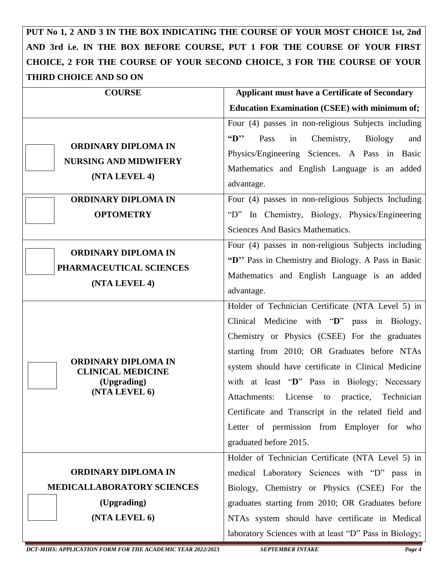**PUT No 1, 2 AND 3 IN THE BOX INDICATING THE COURSE OF YOUR MOST CHOICE 1st, 2nd AND 3rd i.e. IN THE BOX BEFORE COURSE, PUT 1 FOR THE COURSE OF YOUR FIRST CHOICE, 2 FOR THE COURSE OF YOUR SECOND CHOICE, 3 FOR THE COURSE OF YOUR THIRD CHOICE AND SO ON**

| <b>COURSE</b>                                                               | <b>Applicant must have a Certificate of Secondary</b>             |
|-----------------------------------------------------------------------------|-------------------------------------------------------------------|
|                                                                             | <b>Education Examination (CSEE) with minimum of;</b>              |
|                                                                             | Four (4) passes in non-religious Subjects including               |
| <b>ORDINARY DIPLOMA IN</b><br><b>NURSING AND MIDWIFERY</b><br>(NTA LEVEL 4) | $\mathbf{G}$<br>Chemistry,<br>Pass<br>in<br><b>Biology</b><br>and |
|                                                                             | Physics/Engineering Sciences. A Pass in Basic                     |
|                                                                             | Mathematics and English Language is an added                      |
|                                                                             | advantage.                                                        |
| <b>ORDINARY DIPLOMA IN</b>                                                  | Four (4) passes in non-religious Subjects Including               |
| <b>OPTOMETRY</b>                                                            | "D" In Chemistry, Biology, Physics/Engineering                    |
|                                                                             | Sciences And Basics Mathematics.                                  |
| <b>ORDINARY DIPLOMA IN</b>                                                  | Four (4) passes in non-religious Subjects including               |
| PHARMACEUTICAL SCIENCES                                                     | "D" Pass in Chemistry and Biology. A Pass in Basic                |
| (NTA LEVEL 4)                                                               | Mathematics and English Language is an added                      |
|                                                                             | advantage.                                                        |
|                                                                             | Holder of Technician Certificate (NTA Level 5) in                 |
|                                                                             | Clinical Medicine with "D" pass in Biology,                       |
|                                                                             | Chemistry or Physics (CSEE) For the graduates                     |
|                                                                             | starting from 2010; OR Graduates before NTAs                      |
| <b>ORDINARY DIPLOMA IN</b><br><b>CLINICAL MEDICINE</b>                      | system should have certificate in Clinical Medicine               |
| (Upgrading)                                                                 | with at least "D" Pass in Biology; Necessary                      |
| (NTA LEVEL 6)                                                               | Attachments: License to practice, Technician                      |
|                                                                             | Certificate and Transcript in the related field and               |
|                                                                             | Letter of permission from Employer for who                        |
|                                                                             | graduated before 2015.                                            |
|                                                                             | Holder of Technician Certificate (NTA Level 5) in                 |
| <b>ORDINARY DIPLOMA IN</b>                                                  | medical Laboratory Sciences with "D" pass in                      |
| MEDICALLABORATORY SCIENCES                                                  | Biology, Chemistry or Physics (CSEE) For the                      |
| (Upgrading)                                                                 | graduates starting from 2010; OR Graduates before                 |
| (NTA LEVEL 6)                                                               | NTAs system should have certificate in Medical                    |
|                                                                             | laboratory Sciences with at least "D" Pass in Biology;            |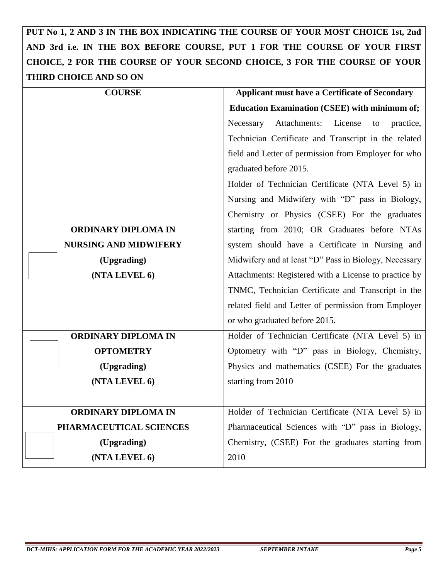## **PUT No 1, 2 AND 3 IN THE BOX INDICATING THE COURSE OF YOUR MOST CHOICE 1st, 2nd AND 3rd i.e. IN THE BOX BEFORE COURSE, PUT 1 FOR THE COURSE OF YOUR FIRST CHOICE, 2 FOR THE COURSE OF YOUR SECOND CHOICE, 3 FOR THE COURSE OF YOUR THIRD CHOICE AND SO ON**

| <b>COURSE</b>                | <b>Applicant must have a Certificate of Secondary</b>   |
|------------------------------|---------------------------------------------------------|
|                              | <b>Education Examination (CSEE) with minimum of;</b>    |
|                              | Attachments:<br>License<br>Necessary<br>to<br>practice, |
|                              | Technician Certificate and Transcript in the related    |
|                              | field and Letter of permission from Employer for who    |
|                              | graduated before 2015.                                  |
|                              | Holder of Technician Certificate (NTA Level 5) in       |
|                              | Nursing and Midwifery with "D" pass in Biology,         |
|                              | Chemistry or Physics (CSEE) For the graduates           |
| <b>ORDINARY DIPLOMA IN</b>   | starting from 2010; OR Graduates before NTAs            |
| <b>NURSING AND MIDWIFERY</b> | system should have a Certificate in Nursing and         |
| (Upgrading)                  | Midwifery and at least "D" Pass in Biology, Necessary   |
| (NTA LEVEL 6)                | Attachments: Registered with a License to practice by   |
|                              | TNMC, Technician Certificate and Transcript in the      |
|                              | related field and Letter of permission from Employer    |
|                              | or who graduated before 2015.                           |
| <b>ORDINARY DIPLOMA IN</b>   | Holder of Technician Certificate (NTA Level 5) in       |
| <b>OPTOMETRY</b>             | Optometry with "D" pass in Biology, Chemistry,          |
| (Upgrading)                  | Physics and mathematics (CSEE) For the graduates        |
| (NTA LEVEL 6)                | starting from 2010                                      |
|                              |                                                         |
| <b>ORDINARY DIPLOMA IN</b>   | Holder of Technician Certificate (NTA Level 5) in       |
| PHARMACEUTICAL SCIENCES      | Pharmaceutical Sciences with "D" pass in Biology,       |
| (Upgrading)                  | Chemistry, (CSEE) For the graduates starting from       |
| (NTA LEVEL 6)                | 2010                                                    |